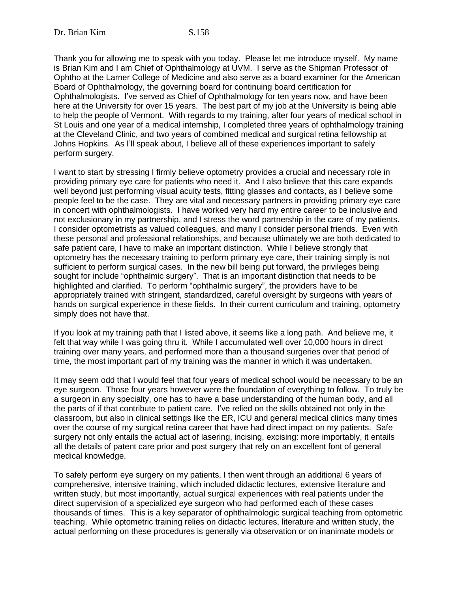Thank you for allowing me to speak with you today. Please let me introduce myself. My name is Brian Kim and I am Chief of Ophthalmology at UVM. I serve as the Shipman Professor of Ophtho at the Larner College of Medicine and also serve as a board examiner for the American Board of Ophthalmology, the governing board for continuing board certification for Ophthalmologists. I've served as Chief of Ophthalmology for ten years now, and have been here at the University for over 15 years. The best part of my job at the University is being able to help the people of Vermont. With regards to my training, after four years of medical school in St Louis and one year of a medical internship, I completed three years of ophthalmology training at the Cleveland Clinic, and two years of combined medical and surgical retina fellowship at Johns Hopkins. As I'll speak about, I believe all of these experiences important to safely perform surgery.

I want to start by stressing I firmly believe optometry provides a crucial and necessary role in providing primary eye care for patients who need it. And I also believe that this care expands well beyond just performing visual acuity tests, fitting glasses and contacts, as I believe some people feel to be the case. They are vital and necessary partners in providing primary eye care in concert with ophthalmologists. I have worked very hard my entire career to be inclusive and not exclusionary in my partnership, and I stress the word partnership in the care of my patients. I consider optometrists as valued colleagues, and many I consider personal friends. Even with these personal and professional relationships, and because ultimately we are both dedicated to safe patient care, I have to make an important distinction. While I believe strongly that optometry has the necessary training to perform primary eye care, their training simply is not sufficient to perform surgical cases. In the new bill being put forward, the privileges being sought for include "ophthalmic surgery". That is an important distinction that needs to be highlighted and clarified. To perform "ophthalmic surgery", the providers have to be appropriately trained with stringent, standardized, careful oversight by surgeons with years of hands on surgical experience in these fields. In their current curriculum and training, optometry simply does not have that.

If you look at my training path that I listed above, it seems like a long path. And believe me, it felt that way while I was going thru it. While I accumulated well over 10,000 hours in direct training over many years, and performed more than a thousand surgeries over that period of time, the most important part of my training was the manner in which it was undertaken.

It may seem odd that I would feel that four years of medical school would be necessary to be an eye surgeon. Those four years however were the foundation of everything to follow. To truly be a surgeon in any specialty, one has to have a base understanding of the human body, and all the parts of if that contribute to patient care. I've relied on the skills obtained not only in the classroom, but also in clinical settings like the ER, ICU and general medical clinics many times over the course of my surgical retina career that have had direct impact on my patients. Safe surgery not only entails the actual act of lasering, incising, excising: more importably, it entails all the details of patent care prior and post surgery that rely on an excellent font of general medical knowledge.

To safely perform eye surgery on my patients, I then went through an additional 6 years of comprehensive, intensive training, which included didactic lectures, extensive literature and written study, but most importantly, actual surgical experiences with real patients under the direct supervision of a specialized eye surgeon who had performed each of these cases thousands of times. This is a key separator of ophthalmologic surgical teaching from optometric teaching. While optometric training relies on didactic lectures, literature and written study, the actual performing on these procedures is generally via observation or on inanimate models or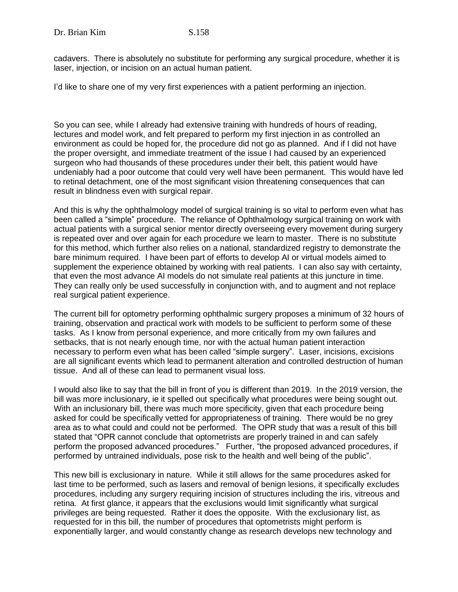cadavers. There is absolutely no substitute for performing any surgical procedure, whether it is laser, injection, or incision on an actual human patient.

I'd like to share one of my very first experiences with a patient performing an injection.

So you can see, while I already had extensive training with hundreds of hours of reading, lectures and model work, and felt prepared to perform my first injection in as controlled an environment as could be hoped for, the procedure did not go as planned. And if I did not have the proper oversight, and immediate treatment of the issue I had caused by an experienced surgeon who had thousands of these procedures under their belt, this patient would have undeniably had a poor outcome that could very well have been permanent. This would have led to retinal detachment, one of the most significant vision threatening consequences that can result in blindness even with surgical repair.

And this is why the ophthalmology model of surgical training is so vital to perform even what has been called a "simple" procedure. The reliance of Ophthalmology surgical training on work with actual patients with a surgical senior mentor directly overseeing every movement during surgery is repeated over and over again for each procedure we learn to master. There is no substitute for this method, which further also relies on a national, standardized registry to demonstrate the bare minimum required. I have been part of efforts to develop AI or virtual models aimed to supplement the experience obtained by working with real patients. I can also say with certainty, that even the most advance AI models do not simulate real patients at this juncture in time. They can really only be used successfully in conjunction with, and to augment and not replace real surgical patient experience.

The current bill for optometry performing ophthalmic surgery proposes a minimum of 32 hours of training, observation and practical work with models to be sufficient to perform some of these tasks. As I know from personal experience, and more critically from my own failures and setbacks, that is not nearly enough time, nor with the actual human patient interaction necessary to perform even what has been called "simple surgery". Laser, incisions, excisions are all significant events which lead to permanent alteration and controlled destruction of human tissue. And all of these can lead to permanent visual loss.

I would also like to say that the bill in front of you is different than 2019. In the 2019 version, the bill was more inclusionary, ie it spelled out specifically what procedures were being sought out. With an inclusionary bill, there was much more specificity, given that each procedure being asked for could be specifically vetted for appropriateness of training. There would be no grey area as to what could and could not be performed. The OPR study that was a result of this bill stated that "OPR cannot conclude that optometrists are properly trained in and can safely perform the proposed advanced procedures." Further, "the proposed advanced procedures, if performed by untrained individuals, pose risk to the health and well being of the public".

This new bill is exclusionary in nature. While it still allows for the same procedures asked for last time to be performed, such as lasers and removal of benign lesions, it specifically excludes procedures, including any surgery requiring incision of structures including the iris, vitreous and retina. At first glance, it appears that the exclusions would limit significantly what surgical privileges are being requested. Rather it does the opposite. With the exclusionary list, as requested for in this bill, the number of procedures that optometrists might perform is exponentially larger, and would constantly change as research develops new technology and